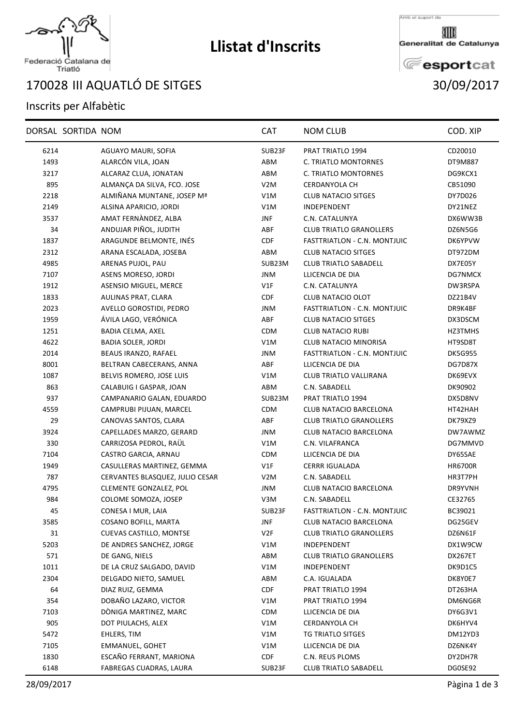

# **Llistat d'Inscrits**

Amb el suport de

Generalitat de Catalunya

**E**esportcat

# Federació Catalana de<br>Triatló

## III AQUATLÓ DE SITGES 30/09/2017

### Inscrits per Alfabètic

|      | DORSAL SORTIDA NOM |                                 | <b>CAT</b>       | <b>NOM CLUB</b>                     | COD. XIP       |
|------|--------------------|---------------------------------|------------------|-------------------------------------|----------------|
| 6214 |                    | AGUAYO MAURI, SOFIA             | SUB23F           | PRAT TRIATLO 1994                   | CD20010        |
| 1493 |                    | ALARCÓN VILA, JOAN              | ABM              | C. TRIATLO MONTORNES                | DT9M887        |
| 3217 |                    | ALCARAZ CLUA, JONATAN           | ABM              | C. TRIATLO MONTORNES                | DG9KCX1        |
| 895  |                    | ALMANÇA DA SILVA, FCO. JOSE     | V2M              | <b>CERDANYOLA CH</b>                | CB51090        |
| 2218 |                    | ALMIÑANA MUNTANE, JOSEP Mª      | V1M              | <b>CLUB NATACIO SITGES</b>          | DY7D026        |
| 2149 |                    | ALSINA APARICIO, JORDI          | V1M              | INDEPENDENT                         | DY21NEZ        |
| 3537 |                    | AMAT FERNÀNDEZ, ALBA            | <b>JNF</b>       | C.N. CATALUNYA                      | DX6WW3B        |
| 34   |                    | ANDUJAR PIÑOL, JUDITH           | ABF              | <b>CLUB TRIATLO GRANOLLERS</b>      | DZ6N5G6        |
| 1837 |                    | ARAGUNDE BELMONTE, INÉS         | CDF              | FASTTRIATLON - C.N. MONTJUIC        | DK6YPVW        |
| 2312 |                    | ARANA ESCALADA, JOSEBA          | ABM              | <b>CLUB NATACIO SITGES</b>          | DT972DM        |
| 4985 |                    | ARENAS PUJOL, PAU               | SUB23M           | <b>CLUB TRIATLO SABADELL</b>        | DX7E05Y        |
| 7107 |                    | ASENS MORESO, JORDI             | <b>JNM</b>       | LLICENCIA DE DIA                    | DG7NMCX        |
| 1912 |                    | ASENSIO MIGUEL, MERCE           | VIF              | C.N. CATALUNYA                      | DW3RSPA        |
| 1833 |                    | AULINAS PRAT, CLARA             | <b>CDF</b>       | CLUB NATACIO OLOT                   | DZ21B4V        |
| 2023 |                    | AVELLO GOROSTIDI, PEDRO         | JNM              | FASTTRIATLON - C.N. MONTJUIC        | DR9K4BF        |
| 1959 |                    | ÁVILA LAGO, VERÓNICA            | ABF              | <b>CLUB NATACIO SITGES</b>          | DX3DSCM        |
| 1251 |                    | BADIA CELMA, AXEL               | CDM              | <b>CLUB NATACIO RUBI</b>            | HZ3TMHS        |
| 4622 |                    | <b>BADIA SOLER, JORDI</b>       | V1M              | CLUB NATACIO MINORISA               | HT9SD8T        |
| 2014 |                    | BEAUS IRANZO, RAFAEL            | <b>JNM</b>       | <b>FASTTRIATLON - C.N. MONTJUIC</b> | <b>DK5G955</b> |
| 8001 |                    | BELTRAN CABECERANS, ANNA        | ABF              | LLICENCIA DE DIA                    | DG7D87X        |
| 1087 |                    | BELVIS ROMERO, JOSE LUIS        | V1M              | <b>CLUB TRIATLO VALLIRANA</b>       | DK69EVX        |
| 863  |                    | CALABUIG I GASPAR, JOAN         | ABM              | C.N. SABADELL                       | DK90902        |
| 937  |                    | CAMPANARIO GALAN, EDUARDO       | SUB23M           | PRAT TRIATLO 1994                   | DX5D8NV        |
| 4559 |                    | CAMPRUBI PIJUAN, MARCEL         | <b>CDM</b>       | CLUB NATACIO BARCELONA              | HT42HAH        |
| 29   |                    | CANOVAS SANTOS, CLARA           | ABF              | <b>CLUB TRIATLO GRANOLLERS</b>      | DK79XZ9        |
| 3924 |                    | CAPELLADES MARZO, GERARD        | <b>JNM</b>       | CLUB NATACIO BARCELONA              | DW7AWMZ        |
| 330  |                    | CARRIZOSA PEDROL, RAÜL          | V1M              | C.N. VILAFRANCA                     | DG7MMVD        |
| 7104 |                    | CASTRO GARCIA, ARNAU            | <b>CDM</b>       | LLICENCIA DE DIA                    | DY65SAE        |
| 1949 |                    | CASULLERAS MARTINEZ, GEMMA      | V1F              | <b>CERRR IGUALADA</b>               | <b>HR6700R</b> |
| 787  |                    | CERVANTES BLASQUEZ, JULIO CESAR | V <sub>2</sub> M | C.N. SABADELL                       | HR3T7PH        |
| 4795 |                    | CLEMENTE GONZALEZ, POL          | <b>JNM</b>       | CLUB NATACIO BARCELONA              | DR9YVNH        |
| 984  |                    | COLOME SOMOZA, JOSEP            | V3M              | C.N. SABADELL                       | CE32765        |
| 45   |                    | CONESA I MUR. LAIA              | SUB23F           | FASTTRIATLON - C.N. MONTJUIC        | BC39021        |
| 3585 |                    | COSANO BOFILL, MARTA            | <b>JNF</b>       | CLUB NATACIO BARCELONA              | DG25GEV        |
| 31   |                    | CUEVAS CASTILLO, MONTSE         | V2F              | <b>CLUB TRIATLO GRANOLLERS</b>      | DZ6N61F        |
| 5203 |                    | DE ANDRES SANCHEZ, JORGE        | V1M              | INDEPENDENT                         | DX1W9CW        |
| 571  |                    | DE GANG, NIELS                  | ABM              | <b>CLUB TRIATLO GRANOLLERS</b>      | DX267ET        |
| 1011 |                    | DE LA CRUZ SALGADO, DAVID       | V1M              | INDEPENDENT                         | DK9D1C5        |
| 2304 |                    | DELGADO NIETO, SAMUEL           | ABM              | C.A. IGUALADA                       | DK8Y0E7        |
| 64   |                    | DIAZ RUIZ, GEMMA                | <b>CDF</b>       | PRAT TRIATLO 1994                   | DT263HA        |
| 354  |                    | DOBAÑO LAZARO, VICTOR           | V1M              | PRAT TRIATLO 1994                   | DM6NG6R        |
| 7103 |                    | DÒNIGA MARTINEZ, MARC           | <b>CDM</b>       | LLICENCIA DE DIA                    | DY6G3V1        |
| 905  |                    | DOT PIULACHS, ALEX              | V1M              | <b>CERDANYOLA CH</b>                | DK6HYV4        |
| 5472 |                    | EHLERS, TIM                     | V1M              | TG TRIATLO SITGES                   | DM12YD3        |
| 7105 |                    | EMMANUEL, GOHET                 | V1M              | LLICENCIA DE DIA                    | DZ6NK4Y        |
| 1830 |                    | ESCAÑO FERRANT, MARIONA         | CDF              | C.N. REUS PLOMS                     | DY2DH7R        |
| 6148 |                    | FABREGAS CUADRAS, LAURA         | SUB23F           | <b>CLUB TRIATLO SABADELL</b>        | DG0SE92        |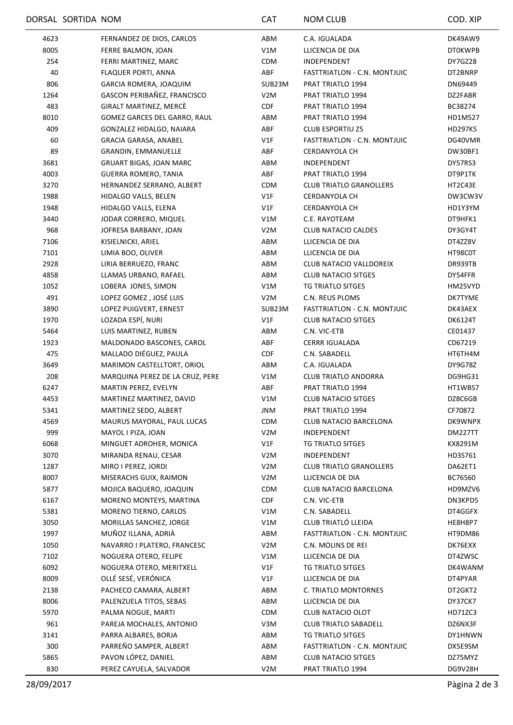|      | DORSAL SORTIDA NOM |                                 | <b>CAT</b>       | <b>NOM CLUB</b>                | COD. XIP       |
|------|--------------------|---------------------------------|------------------|--------------------------------|----------------|
| 4623 |                    | FERNANDEZ DE DIOS, CARLOS       | ABM              | C.A. IGUALADA                  | DK49AW9        |
| 8005 |                    | FERRE BALMON, JOAN              | V1M              | LLICENCIA DE DIA               | <b>DT0KWPB</b> |
| 254  |                    | FERRI MARTINEZ, MARC            | <b>CDM</b>       | INDEPENDENT                    | DY7GZ28        |
| 40   |                    | FLAQUER PORTI, ANNA             | ABF              | FASTTRIATLON - C.N. MONTJUIC   | DT2BNRP        |
| 806  |                    | GARCIA ROMERA, JOAQUIM          | SUB23M           | PRAT TRIATLO 1994              | DN69449        |
| 1264 |                    | GASCON PERIBAÑEZ, FRANCISCO     | V <sub>2</sub> M | PRAT TRIATLO 1994              | DZ2FABR        |
| 483  |                    | GIRALT MARTINEZ, MERCÈ          | <b>CDF</b>       | PRAT TRIATLO 1994              | BC38274        |
| 8010 |                    | GOMEZ GARCES DEL GARRO, RAUL    | ABM              | PRAT TRIATLO 1994              | HD1M527        |
| 409  |                    | GONZALEZ HIDALGO, NAIARA        | ABF              | <b>CLUB ESPORTIU Z5</b>        | HD297K5        |
| 60   |                    | GRACIA GARASA, ANABEL           | V1F              | FASTTRIATLON - C.N. MONTJUIC   | DG40VMR        |
| 89   |                    | <b>GRANDIN, EMMANUELLE</b>      | ABF              | CERDANYOLA CH                  | DW30BF1        |
| 3681 |                    | <b>GRUART BIGAS, JOAN MARC</b>  | ABM              | INDEPENDENT                    | DY57RS3        |
| 4003 |                    | <b>GUERRA ROMERO, TANIA</b>     | ABF              | PRAT TRIATLO 1994              | DT9P1TK        |
| 3270 |                    | HERNANDEZ SERRANO, ALBERT       | <b>CDM</b>       | <b>CLUB TRIATLO GRANOLLERS</b> | HT2C43E        |
| 1988 |                    | HIDALGO VALLS, BELEN            | V1F              | CERDANYOLA CH                  | DW3CW3V        |
| 1948 |                    | HIDALGO VALLS, ELENA            | V1F              | CERDANYOLA CH                  | HD1Y3YM        |
| 3440 |                    | JODAR CORRERO, MIQUEL           | V1M              | C.E. RAYOTEAM                  | DT9HFK1        |
| 968  |                    | JOFRESA BARBANY, JOAN           | V <sub>2</sub> M | <b>CLUB NATACIO CALDES</b>     | DY3GY4T        |
| 7106 |                    | KISIELNICKI, ARIEL              | ABM              | LLICENCIA DE DIA               | DT4ZZ8V        |
| 7101 |                    | LIMIA BOO, OLIVER               | ABM              | LLICENCIA DE DIA               | HT98C0T        |
| 2928 |                    | LIRIA BERRUEZO, FRANC           | ABM              | CLUB NATACIO VALLDOREIX        | DR939TB        |
| 4858 |                    | LLAMAS URBANO, RAFAEL           | ABM              | <b>CLUB NATACIO SITGES</b>     | DY54FFR        |
| 1052 |                    | LOBERA JONES, SIMON             | V1M              | TG TRIATLO SITGES              | HM25VYD        |
| 491  |                    | LOPEZ GOMEZ, JOSÉ LUIS          | V <sub>2</sub> M | C.N. REUS PLOMS                | DK7TYME        |
| 3890 |                    | LOPEZ PUIGVERT, ERNEST          | SUB23M           | FASTTRIATLON - C.N. MONTJUIC   | DK43AEX        |
| 1970 |                    | LOZADA ESPÍ, NURI               | V1F              | <b>CLUB NATACIO SITGES</b>     | DK6124T        |
| 5464 |                    | LUIS MARTINEZ, RUBEN            | ABM              | C.N. VIC-ETB                   | CE01437        |
| 1923 |                    | MALDONADO BASCONES, CAROL       | ABF              | <b>CERRR IGUALADA</b>          | CD67219        |
| 475  |                    | MALLADO DIÉGUEZ, PAULA          | <b>CDF</b>       | C.N. SABADELL                  | HT6TH4M        |
| 3649 |                    | MARIMON CASTELLTORT, ORIOL      | ABM              | C.A. IGUALADA                  | <b>DY9G78Z</b> |
| 208  |                    | MARQUINA PEREZ DE LA CRUZ, PERE | V1M              | <b>CLUB TRIATLO ANDORRA</b>    | DG9HG31        |
| 6247 |                    | MARTIN PEREZ, EVELYN            | ABF              | PRAT TRIATLO 1994              | HT1WBS7        |
| 4453 |                    | MARTINEZ MARTINEZ, DAVID        | V1M              | <b>CLUB NATACIO SITGES</b>     | DZ8C6GB        |
| 5341 |                    | MARTINEZ SEDO, ALBERT           | JNM              | PRAT TRIATLO 1994              | CF70872        |
| 4569 |                    | MAURUS MAYORAL, PAUL LUCAS      | <b>CDM</b>       | CLUB NATACIO BARCELONA         | DK9WNPX        |
| 999  |                    | MAYOL I PIZA, JOAN              | V <sub>2</sub> M | INDEPENDENT                    | DM227TT        |
| 6068 |                    | MINGUET ADROHER, MONICA         | V1F              | TG TRIATLO SITGES              | KX8291M        |
| 3070 |                    | MIRANDA RENAU, CESAR            | V <sub>2</sub> M | INDEPENDENT                    | HD3S761        |
| 1287 |                    | MIRO I PEREZ, JORDI             | V <sub>2</sub> M | <b>CLUB TRIATLO GRANOLLERS</b> | DA62ET1        |
| 8007 |                    | MISERACHS GUIX, RAIMON          | V <sub>2</sub> M | LLICENCIA DE DIA               | BC76560        |
| 5877 |                    | MOJICA BAQUERO, JOAQUIN         | <b>CDM</b>       | CLUB NATACIO BARCELONA         | HD9MZV6        |
| 6167 |                    | MORENO MONTEYS, MARTINA         | <b>CDF</b>       | C.N. VIC-ETB                   | DN3KPD5        |
| 5381 |                    | MORENO TIERNO, CARLOS           | V1M              | C.N. SABADELL                  | DT4GGFX        |
| 3050 |                    | MORILLAS SANCHEZ, JORGE         | V1M              | CLUB TRIATLÓ LLEIDA            | HE8H8P7        |
| 1997 |                    | MUÑOZ ILLANA, ADRIÀ             | ABM              | FASTTRIATLON - C.N. MONTJUIC   | HT9DM86        |
| 1050 |                    | NAVARRO I PLATERO, FRANCESC     | V <sub>2</sub> M | C.N. MOLINS DE REI             | DK76EXX        |
| 7102 |                    | NOGUERA OTERO, FELIPE           | V1M              | LLICENCIA DE DIA               | DT4ZWSC        |
| 6092 |                    | NOGUERA OTERO, MERITXELL        | V1F              | TG TRIATLO SITGES              | DK4WANM        |
| 8009 |                    | OLLÉ SESÉ, VERÓNICA             | V1F              | LLICENCIA DE DIA               | DT4PYAR        |
| 2138 |                    | PACHECO CAMARA, ALBERT          | ABM              | C. TRIATLO MONTORNES           | DT2GKT2        |
| 8006 |                    | PALENZUELA TITOS, SEBAS         | ABM              | LLICENCIA DE DIA               | DY37CK7        |
| 5970 |                    | PALMA NOGUE, MARTI              | <b>CDM</b>       | CLUB NATACIO OLOT              | HD71ZC3        |
| 961  |                    | PAREJA MOCHALES, ANTONIO        | V3M              | <b>CLUB TRIATLO SABADELL</b>   | DZ6NX3F        |
| 3141 |                    | PARRA ALBARES, BORJA            | ABM              | TG TRIATLO SITGES              | DY1HNWN        |
| 300  |                    | PARREÑO SAMPER, ALBERT          | ABM              | FASTTRIATLON - C.N. MONTJUIC   | DX5E9SM        |
| 5865 |                    | PAVON LÓPEZ, DANIEL             | ABM              | <b>CLUB NATACIO SITGES</b>     | DZ75MYZ        |
| 830  |                    | PEREZ CAYUELA, SALVADOR         | V2M              | PRAT TRIATLO 1994              | DG9V28H        |
|      |                    |                                 |                  |                                |                |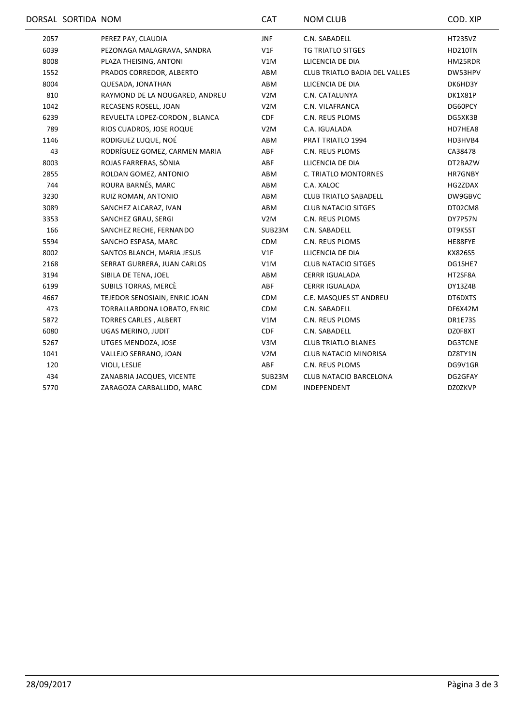|      | DORSAL SORTIDA NOM |                                | <b>CAT</b>       | <b>NOM CLUB</b>                      | COD. XIP       |
|------|--------------------|--------------------------------|------------------|--------------------------------------|----------------|
| 2057 |                    | PEREZ PAY, CLAUDIA             | <b>JNF</b>       | C.N. SABADELL                        | <b>HT235VZ</b> |
| 6039 |                    | PEZONAGA MALAGRAVA, SANDRA     | V1F              | <b>TG TRIATLO SITGES</b>             | <b>HD210TN</b> |
| 8008 |                    | PLAZA THEISING, ANTONI         | V1M              | LLICENCIA DE DIA                     | HM25RDR        |
| 1552 |                    | PRADOS CORREDOR, ALBERTO       | ABM              | <b>CLUB TRIATLO BADIA DEL VALLES</b> | DW53HPV        |
| 8004 |                    | QUESADA, JONATHAN              | ABM              | LLICENCIA DE DIA                     | DK6HD3Y        |
| 810  |                    | RAYMOND DE LA NOUGARED, ANDREU | V <sub>2</sub> M | C.N. CATALUNYA                       | DK1X81P        |
| 1042 |                    | RECASENS ROSELL, JOAN          | V <sub>2</sub> M | C.N. VILAFRANCA                      | DG60PCY        |
| 6239 |                    | REVUELTA LOPEZ-CORDON, BLANCA  | <b>CDF</b>       | C.N. REUS PLOMS                      | DG5XK3B        |
| 789  |                    | RIOS CUADROS, JOSE ROQUE       | V2M              | C.A. IGUALADA                        | HD7HEA8        |
| 1146 |                    | RODIGUEZ LUQUE, NOÉ            | ABM              | PRAT TRIATLO 1994                    | HD3HVB4        |
| 43   |                    | RODRÍGUEZ GOMEZ, CARMEN MARIA  | ABF              | C.N. REUS PLOMS                      | CA38478        |
| 8003 |                    | ROJAS FARRERAS, SÒNIA          | ABF              | LLICENCIA DE DIA                     | DT2BAZW        |
| 2855 |                    | ROLDAN GOMEZ, ANTONIO          | ABM              | C. TRIATLO MONTORNES                 | HR7GNBY        |
| 744  |                    | ROURA BARNÉS, MARC             | ABM              | C.A. XALOC                           | HG2ZDAX        |
| 3230 |                    | RUIZ ROMAN, ANTONIO            | ABM              | <b>CLUB TRIATLO SABADELL</b>         | DW9GBVC        |
| 3089 |                    | SANCHEZ ALCARAZ, IVAN          | ABM              | <b>CLUB NATACIO SITGES</b>           | DT02CM8        |
| 3353 |                    | SANCHEZ GRAU, SERGI            | V <sub>2</sub> M | C.N. REUS PLOMS                      | DY7P57N        |
| 166  |                    | SANCHEZ RECHE, FERNANDO        | SUB23M           | C.N. SABADELL                        | DT9K5ST        |
| 5594 |                    | SANCHO ESPASA, MARC            | <b>CDM</b>       | C.N. REUS PLOMS                      | HE88FYE        |
| 8002 |                    | SANTOS BLANCH, MARIA JESUS     | V1F              | LLICENCIA DE DIA                     | KX826S5        |
| 2168 |                    | SERRAT GURRERA, JUAN CARLOS    | V1M              | <b>CLUB NATACIO SITGES</b>           | DG1SHE7        |
| 3194 |                    | SIBILA DE TENA, JOEL           | ABM              | <b>CERRR IGUALADA</b>                | HT2SF8A        |
| 6199 |                    | SUBILS TORRAS, MERCE           | ABF              | <b>CERRR IGUALADA</b>                | DY13Z4B        |
| 4667 |                    | TEJEDOR SENOSIAIN, ENRIC JOAN  | <b>CDM</b>       | C.E. MASQUES ST ANDREU               | DT6DXTS        |
| 473  |                    | TORRALLARDONA LOBATO, ENRIC    | <b>CDM</b>       | C.N. SABADELL                        | DF6X42M        |
| 5872 |                    | <b>TORRES CARLES, ALBERT</b>   | V1M              | C.N. REUS PLOMS                      | DR1E73S        |
| 6080 |                    | UGAS MERINO, JUDIT             | <b>CDF</b>       | C.N. SABADELL                        | DZ0F8XT        |
| 5267 |                    | UTGES MENDOZA, JOSE            | V3M              | <b>CLUB TRIATLO BLANES</b>           | DG3TCNE        |
| 1041 |                    | VALLEJO SERRANO, JOAN          | V <sub>2</sub> M | <b>CLUB NATACIO MINORISA</b>         | DZ8TY1N        |
| 120  |                    | VIOLI, LESLIE                  | ABF              | C.N. REUS PLOMS                      | DG9V1GR        |
| 434  |                    | ZANABRIA JACQUES, VICENTE      | SUB23M           | <b>CLUB NATACIO BARCELONA</b>        | DG2GFAY        |
| 5770 |                    | ZARAGOZA CARBALLIDO, MARC      | CDM              | INDEPENDENT                          | DZ0ZKVP        |
|      |                    |                                |                  |                                      |                |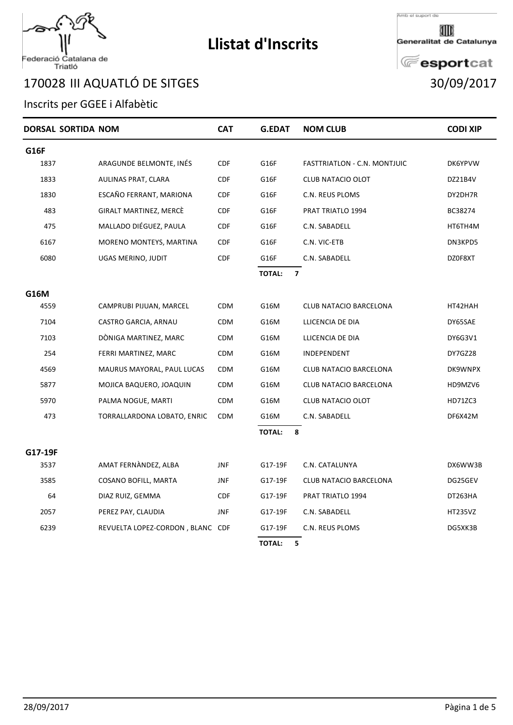# Federació Catalana de<br>Triatló

### III AQUATLÓ DE SITGES 30/09/2017

### Inscrits per GGEE i Alfabètic

| DORSAL SORTIDA NOM |                                  | <b>CAT</b> | <b>G.EDAT</b>                            | <b>NOM CLUB</b>              | <b>CODI XIP</b> |
|--------------------|----------------------------------|------------|------------------------------------------|------------------------------|-----------------|
| <b>G16F</b>        |                                  |            |                                          |                              |                 |
| 1837               | ARAGUNDE BELMONTE, INÉS          | <b>CDF</b> | G16F                                     | FASTTRIATLON - C.N. MONTJUIC | DK6YPVW         |
| 1833               | AULINAS PRAT, CLARA              | <b>CDF</b> | G16F                                     | <b>CLUB NATACIO OLOT</b>     | DZ21B4V         |
| 1830               | ESCAÑO FERRANT, MARIONA          | <b>CDF</b> | G16F                                     | C.N. REUS PLOMS              | DY2DH7R         |
| 483                | GIRALT MARTINEZ, MERCÈ           | <b>CDF</b> | G16F                                     | PRAT TRIATLO 1994            | BC38274         |
| 475                | MALLADO DIÉGUEZ, PAULA           | <b>CDF</b> | G16F                                     | C.N. SABADELL                | HT6TH4M         |
| 6167               | MORENO MONTEYS, MARTINA          | <b>CDF</b> | G16F                                     | C.N. VIC-ETB                 | DN3KPD5         |
| 6080               | UGAS MERINO, JUDIT               | <b>CDF</b> | G16F                                     | C.N. SABADELL                | DZ0F8XT         |
|                    |                                  |            | <b>TOTAL:</b><br>$\overline{\mathbf{z}}$ |                              |                 |
| G16M               |                                  |            |                                          |                              |                 |
| 4559               | CAMPRUBI PIJUAN, MARCEL          | CDM        | G16M                                     | CLUB NATACIO BARCELONA       | HT42HAH         |
| 7104               | CASTRO GARCIA, ARNAU             | <b>CDM</b> | G16M                                     | LLICENCIA DE DIA             | DY65SAE         |
| 7103               | DÓNIGA MARTINEZ, MARC            | <b>CDM</b> | G16M                                     | LLICENCIA DE DIA             | DY6G3V1         |
| 254                | FERRI MARTINEZ, MARC             | <b>CDM</b> | G16M                                     | INDEPENDENT                  | DY7GZ28         |
| 4569               | MAURUS MAYORAL, PAUL LUCAS       | <b>CDM</b> | G16M                                     | CLUB NATACIO BARCELONA       | DK9WNPX         |
| 5877               | MOJICA BAQUERO, JOAQUIN          | <b>CDM</b> | G16M                                     | CLUB NATACIO BARCELONA       | HD9MZV6         |
| 5970               | PALMA NOGUE, MARTI               | <b>CDM</b> | G16M                                     | CLUB NATACIO OLOT            | HD71ZC3         |
| 473                | TORRALLARDONA LOBATO, ENRIC      | <b>CDM</b> | G16M                                     | C.N. SABADELL                | DF6X42M         |
|                    |                                  |            | <b>TOTAL:</b><br>8                       |                              |                 |
| G17-19F            |                                  |            |                                          |                              |                 |
| 3537               | AMAT FERNÀNDEZ, ALBA             | <b>JNF</b> | G17-19F                                  | C.N. CATALUNYA               | DX6WW3B         |
| 3585               | COSANO BOFILL, MARTA             | <b>JNF</b> | G17-19F                                  | CLUB NATACIO BARCELONA       | DG25GEV         |
| 64                 | DIAZ RUIZ, GEMMA                 | <b>CDF</b> | G17-19F                                  | PRAT TRIATLO 1994            | DT263HA         |
| 2057               | PEREZ PAY, CLAUDIA               | <b>JNF</b> | G17-19F                                  | C.N. SABADELL                | <b>HT235VZ</b>  |
| 6239               | REVUELTA LOPEZ-CORDON, BLANC CDF |            | G17-19F                                  | C.N. REUS PLOMS              | DG5XK3B         |
|                    |                                  |            | <b>TOTAL:</b><br>5                       |                              |                 |

**Llistat d'Inscrits**



Generalitat de Catalunya

# **E**esportcat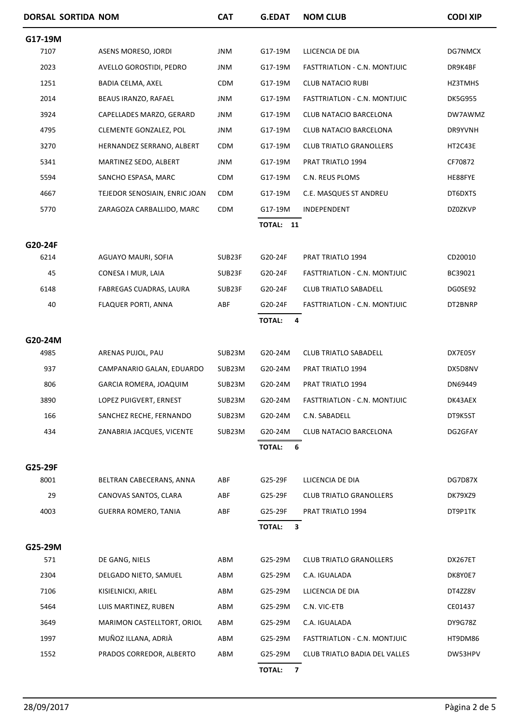|         | DORSAL SORTIDA NOM |                               | <b>CAT</b> | <b>G.EDAT</b>                            | <b>NOM CLUB</b>                      | <b>CODI XIP</b> |
|---------|--------------------|-------------------------------|------------|------------------------------------------|--------------------------------------|-----------------|
| G17-19M |                    |                               |            |                                          |                                      |                 |
| 7107    |                    | ASENS MORESO, JORDI           | <b>JNM</b> | G17-19M                                  | LLICENCIA DE DIA                     | DG7NMCX         |
| 2023    |                    | AVELLO GOROSTIDI, PEDRO       | <b>JNM</b> | G17-19M                                  | FASTTRIATLON - C.N. MONTJUIC         | DR9K4BF         |
| 1251    |                    | BADIA CELMA, AXEL             | <b>CDM</b> | G17-19M                                  | <b>CLUB NATACIO RUBI</b>             | HZ3TMHS         |
| 2014    |                    | BEAUS IRANZO, RAFAEL          | JNM        | G17-19M                                  | FASTTRIATLON - C.N. MONTJUIC         | DK5G955         |
| 3924    |                    | CAPELLADES MARZO, GERARD      | JNM        | G17-19M                                  | CLUB NATACIO BARCELONA               | DW7AWMZ         |
| 4795    |                    | CLEMENTE GONZALEZ, POL        | <b>JNM</b> | G17-19M                                  | <b>CLUB NATACIO BARCELONA</b>        | DR9YVNH         |
| 3270    |                    | HERNANDEZ SERRANO, ALBERT     | <b>CDM</b> | G17-19M                                  | <b>CLUB TRIATLO GRANOLLERS</b>       | HT2C43E         |
| 5341    |                    | MARTINEZ SEDO, ALBERT         | <b>JNM</b> | G17-19M                                  | PRAT TRIATLO 1994                    | CF70872         |
| 5594    |                    | SANCHO ESPASA, MARC           | <b>CDM</b> | G17-19M                                  | C.N. REUS PLOMS                      | HE88FYE         |
| 4667    |                    | TEJEDOR SENOSIAIN, ENRIC JOAN | <b>CDM</b> | G17-19M                                  | C.E. MASQUES ST ANDREU               | DT6DXTS         |
| 5770    |                    | ZARAGOZA CARBALLIDO, MARC     | <b>CDM</b> | G17-19M                                  | INDEPENDENT                          | <b>DZ0ZKVP</b>  |
|         |                    |                               |            | TOTAL: 11                                |                                      |                 |
| G20-24F |                    |                               |            |                                          |                                      |                 |
| 6214    |                    | AGUAYO MAURI, SOFIA           | SUB23F     | G20-24F                                  | PRAT TRIATLO 1994                    | CD20010         |
| 45      |                    | CONESA I MUR, LAIA            | SUB23F     | G20-24F                                  | FASTTRIATLON - C.N. MONTJUIC         | BC39021         |
| 6148    |                    | FABREGAS CUADRAS, LAURA       | SUB23F     | G20-24F                                  | <b>CLUB TRIATLO SABADELL</b>         | DG0SE92         |
| 40      |                    | <b>FLAQUER PORTI, ANNA</b>    | ABF        | G20-24F                                  | FASTTRIATLON - C.N. MONTJUIC         | DT2BNRP         |
|         |                    |                               |            | <b>TOTAL:</b>                            | 4                                    |                 |
| G20-24M |                    |                               |            |                                          |                                      |                 |
| 4985    |                    | ARENAS PUJOL, PAU             | SUB23M     | G20-24M                                  | <b>CLUB TRIATLO SABADELL</b>         | DX7E05Y         |
| 937     |                    | CAMPANARIO GALAN, EDUARDO     | SUB23M     | G20-24M                                  | PRAT TRIATLO 1994                    | DX5D8NV         |
| 806     |                    | GARCIA ROMERA, JOAQUIM        | SUB23M     | G20-24M                                  | PRAT TRIATLO 1994                    | DN69449         |
| 3890    |                    | LOPEZ PUIGVERT, ERNEST        | SUB23M     | G20-24M                                  | FASTTRIATLON - C.N. MONTJUIC         | DK43AEX         |
| 166     |                    | SANCHEZ RECHE, FERNANDO       | SUB23M     | G20-24M                                  | C.N. SABADELL                        | DT9K5ST         |
| 434     |                    | ZANABRIA JACQUES, VICENTE     | SUB23M     | G20-24M                                  | CLUB NATACIO BARCELONA               | DG2GFAY         |
|         |                    |                               |            | <b>TOTAL:</b>                            | 6                                    |                 |
| G25-29F |                    |                               |            |                                          |                                      |                 |
| 8001    |                    | BELTRAN CABECERANS, ANNA      | ABF        | G25-29F                                  | LLICENCIA DE DIA                     | <b>DG7D87X</b>  |
| 29      |                    | CANOVAS SANTOS, CLARA         | ABF        | G25-29F                                  | <b>CLUB TRIATLO GRANOLLERS</b>       | DK79XZ9         |
| 4003    |                    | <b>GUERRA ROMERO, TANIA</b>   | ABF        | G25-29F                                  | PRAT TRIATLO 1994                    | DT9P1TK         |
|         |                    |                               |            | <b>TOTAL:</b>                            | 3                                    |                 |
| G25-29M |                    |                               |            |                                          |                                      |                 |
| 571     |                    | DE GANG, NIELS                | ABM        | G25-29M                                  | <b>CLUB TRIATLO GRANOLLERS</b>       | DX267ET         |
| 2304    |                    | DELGADO NIETO, SAMUEL         | ABM        | G25-29M                                  | C.A. IGUALADA                        | DK8Y0E7         |
| 7106    |                    | KISIELNICKI, ARIEL            | ABM        | G25-29M                                  | LLICENCIA DE DIA                     | DT4ZZ8V         |
| 5464    |                    | LUIS MARTINEZ, RUBEN          | ABM        | G25-29M                                  | C.N. VIC-ETB                         | CE01437         |
| 3649    |                    | MARIMON CASTELLTORT, ORIOL    | ABM        | G25-29M                                  | C.A. IGUALADA                        | <b>DY9G78Z</b>  |
| 1997    |                    | MUÑOZ ILLANA, ADRIÀ           | ABM        | G25-29M                                  | FASTTRIATLON - C.N. MONTJUIC         | HT9DM86         |
| 1552    |                    | PRADOS CORREDOR, ALBERTO      | ABM        | G25-29M                                  | <b>CLUB TRIATLO BADIA DEL VALLES</b> | DW53HPV         |
|         |                    |                               |            | $\overline{\mathbf{z}}$<br><b>TOTAL:</b> |                                      |                 |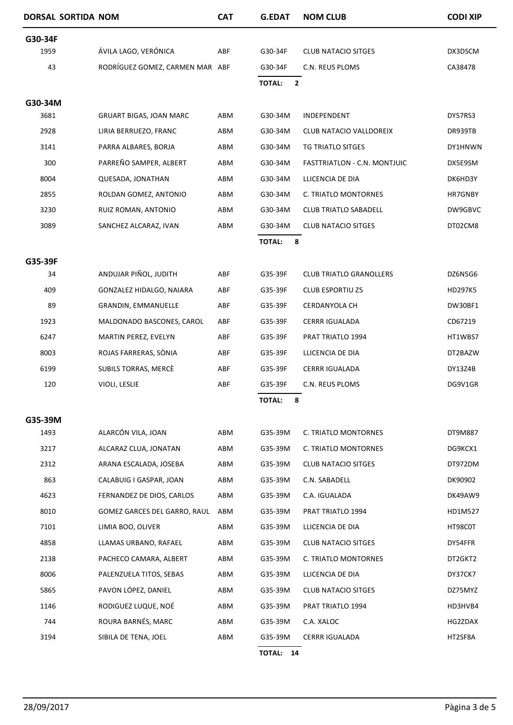| DORSAL SORTIDA NOM |                                 | <b>CAT</b> | <b>G.EDAT</b> | <b>NOM CLUB</b>                | <b>CODI XIP</b> |
|--------------------|---------------------------------|------------|---------------|--------------------------------|-----------------|
| G30-34F            |                                 |            |               |                                |                 |
| 1959               | ÁVILA LAGO, VERÓNICA            | ABF        | G30-34F       | <b>CLUB NATACIO SITGES</b>     | DX3DSCM         |
| 43                 | RODRÍGUEZ GOMEZ, CARMEN MAR ABF |            | G30-34F       | C.N. REUS PLOMS                | CA38478         |
|                    |                                 |            | <b>TOTAL:</b> | $\overline{2}$                 |                 |
| G30-34M            |                                 |            |               |                                |                 |
| 3681               | <b>GRUART BIGAS, JOAN MARC</b>  | ABM        | G30-34M       | INDEPENDENT                    | DY57RS3         |
| 2928               | LIRIA BERRUEZO, FRANC           | ABM        | G30-34M       | CLUB NATACIO VALLDOREIX        | DR939TB         |
| 3141               | PARRA ALBARES, BORJA            | ABM        | G30-34M       | TG TRIATLO SITGES              | DY1HNWN         |
| 300                | PARREÑO SAMPER, ALBERT          | ABM        | G30-34M       | FASTTRIATLON - C.N. MONTJUIC   | DX5E9SM         |
| 8004               | QUESADA, JONATHAN               | ABM        | G30-34M       | LLICENCIA DE DIA               | DK6HD3Y         |
| 2855               | ROLDAN GOMEZ, ANTONIO           | ABM        | G30-34M       | C. TRIATLO MONTORNES           | HR7GNBY         |
| 3230               | RUIZ ROMAN, ANTONIO             | ABM        | G30-34M       | <b>CLUB TRIATLO SABADELL</b>   | DW9GBVC         |
| 3089               | SANCHEZ ALCARAZ, IVAN           | ABM        | G30-34M       | <b>CLUB NATACIO SITGES</b>     | DT02CM8         |
|                    |                                 |            | <b>TOTAL:</b> | 8                              |                 |
| G35-39F            |                                 |            |               |                                |                 |
| 34                 | ANDUJAR PIÑOL, JUDITH           | ABF        | G35-39F       | <b>CLUB TRIATLO GRANOLLERS</b> | DZ6N5G6         |
| 409                | GONZALEZ HIDALGO, NAIARA        | ABF        | G35-39F       | <b>CLUB ESPORTIU Z5</b>        | HD297K5         |
| 89                 | GRANDIN, EMMANUELLE             | ABF        | G35-39F       | CERDANYOLA CH                  | DW30BF1         |
| 1923               | MALDONADO BASCONES, CAROL       | ABF        | G35-39F       | <b>CERRR IGUALADA</b>          | CD67219         |
| 6247               | MARTIN PEREZ, EVELYN            | ABF        | G35-39F       | PRAT TRIATLO 1994              | HT1WBS7         |
| 8003               | ROJAS FARRERAS, SÒNIA           | ABF        | G35-39F       | LLICENCIA DE DIA               | DT2BAZW         |
| 6199               | SUBILS TORRAS, MERCÈ            | ABF        | G35-39F       | <b>CERRR IGUALADA</b>          | DY13Z4B         |
| 120                | VIOLI, LESLIE                   | ABF        | G35-39F       | C.N. REUS PLOMS                | DG9V1GR         |
|                    |                                 |            | <b>TOTAL:</b> | 8                              |                 |
| G35-39M            |                                 |            |               |                                |                 |
| 1493               | ALARCÓN VILA, JOAN              | ABM        | G35-39M       | C. TRIATLO MONTORNES           | DT9M887         |
| 3217               | ALCARAZ CLUA, JONATAN           | ABM        | G35-39M       | C. TRIATLO MONTORNES           | DG9KCX1         |
| 2312               | ARANA ESCALADA, JOSEBA          | ABM        | G35-39M       | <b>CLUB NATACIO SITGES</b>     | DT972DM         |
| 863                | CALABUIG I GASPAR, JOAN         | ABM        | G35-39M       | C.N. SABADELL                  | DK90902         |
| 4623               | FERNANDEZ DE DIOS, CARLOS       | ABM        | G35-39M       | C.A. IGUALADA                  | DK49AW9         |
| 8010               | GOMEZ GARCES DEL GARRO, RAUL    | ABM        | G35-39M       | PRAT TRIATLO 1994              | HD1M527         |
| 7101               | LIMIA BOO, OLIVER               | ABM        | G35-39M       | LLICENCIA DE DIA               | HT98C0T         |
| 4858               | LLAMAS URBANO, RAFAEL           | ABM        | G35-39M       | <b>CLUB NATACIO SITGES</b>     | DY54FFR         |
| 2138               | PACHECO CAMARA, ALBERT          | ABM        | G35-39M       | C. TRIATLO MONTORNES           | DT2GKT2         |
| 8006               | PALENZUELA TITOS, SEBAS         | ABM        | G35-39M       | LLICENCIA DE DIA               | DY37CK7         |
| 5865               | PAVON LÓPEZ, DANIEL             | ABM        | G35-39M       | <b>CLUB NATACIO SITGES</b>     | DZ75MYZ         |
| 1146               | RODIGUEZ LUQUE, NOÉ             | ABM        | G35-39M       | PRAT TRIATLO 1994              | HD3HVB4         |
| 744                | ROURA BARNÉS, MARC              | ABM        | G35-39M       | C.A. XALOC                     | HG2ZDAX         |
| 3194               | SIBILA DE TENA, JOEL            | ABM        | G35-39M       | <b>CERRR IGUALADA</b>          | HT2SF8A         |
|                    |                                 |            | TOTAL: 14     |                                |                 |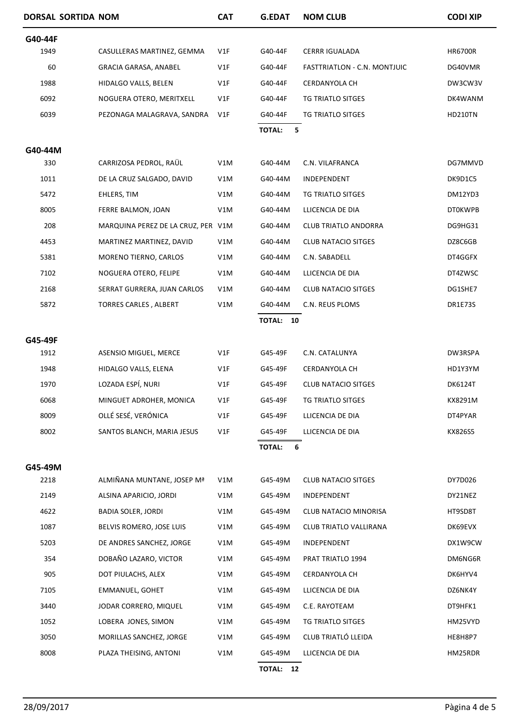| DORSAL SORTIDA NOM |                                    | <b>CAT</b> | <b>G.EDAT</b>      | <b>NOM CLUB</b>              | <b>CODI XIP</b> |
|--------------------|------------------------------------|------------|--------------------|------------------------------|-----------------|
| G40-44F            |                                    |            |                    |                              |                 |
| 1949               | CASULLERAS MARTINEZ, GEMMA         | V1F        | G40-44F            | <b>CERRR IGUALADA</b>        | <b>HR6700R</b>  |
| 60                 | GRACIA GARASA, ANABEL              | V1F        | G40-44F            | FASTTRIATLON - C.N. MONTJUIC | DG40VMR         |
| 1988               | HIDALGO VALLS, BELEN               | V1F        | G40-44F            | CERDANYOLA CH                | DW3CW3V         |
| 6092               | NOGUERA OTERO, MERITXELL           | V1F        | G40-44F            | TG TRIATLO SITGES            | DK4WANM         |
| 6039               | PEZONAGA MALAGRAVA, SANDRA         | V1F        | G40-44F            | TG TRIATLO SITGES            | <b>HD210TN</b>  |
|                    |                                    |            | <b>TOTAL:</b><br>5 |                              |                 |
| G40-44M            |                                    |            |                    |                              |                 |
| 330                | CARRIZOSA PEDROL, RAÜL             | V1M        | G40-44M            | C.N. VILAFRANCA              | DG7MMVD         |
| 1011               | DE LA CRUZ SALGADO, DAVID          | V1M        | G40-44M            | INDEPENDENT                  | DK9D1C5         |
| 5472               | EHLERS, TIM                        | V1M        | G40-44M            | TG TRIATLO SITGES            | DM12YD3         |
| 8005               | FERRE BALMON, JOAN                 | V1M        | G40-44M            | LLICENCIA DE DIA             | <b>DT0KWPB</b>  |
| 208                | MARQUINA PEREZ DE LA CRUZ, PER V1M |            | G40-44M            | <b>CLUB TRIATLO ANDORRA</b>  | DG9HG31         |
| 4453               | MARTINEZ MARTINEZ, DAVID           | V1M        | G40-44M            | <b>CLUB NATACIO SITGES</b>   | DZ8C6GB         |
| 5381               | MORENO TIERNO, CARLOS              | V1M        | G40-44M            | C.N. SABADELL                | DT4GGFX         |
| 7102               | NOGUERA OTERO, FELIPE              | V1M        | G40-44M            | LLICENCIA DE DIA             | DT4ZWSC         |
| 2168               | SERRAT GURRERA, JUAN CARLOS        | V1M        | G40-44M            | <b>CLUB NATACIO SITGES</b>   | DG1SHE7         |
| 5872               | <b>TORRES CARLES, ALBERT</b>       | V1M        | G40-44M            | C.N. REUS PLOMS              | DR1E73S         |
|                    |                                    |            | TOTAL: 10          |                              |                 |
| G45-49F            |                                    |            |                    |                              |                 |
| 1912               | ASENSIO MIGUEL, MERCE              | V1F        | G45-49F            | C.N. CATALUNYA               | DW3RSPA         |
| 1948               | HIDALGO VALLS, ELENA               | V1F        | G45-49F            | CERDANYOLA CH                | HD1Y3YM         |
| 1970               | LOZADA ESPÍ, NURI                  | V1F        | G45-49F            | <b>CLUB NATACIO SITGES</b>   | DK6124T         |
| 6068               | MINGUET ADROHER, MONICA            | V1F        | G45-49F            | TG TRIATLO SITGES            | KX8291M         |
| 8009               | OLLÉ SESÉ, VERÓNICA                | V1F        | G45-49F            | LLICENCIA DE DIA             | DT4PYAR         |
| 8002               | SANTOS BLANCH, MARIA JESUS         | V1F        | G45-49F            | LLICENCIA DE DIA             | KX826S5         |
|                    |                                    |            | <b>TOTAL:</b><br>6 |                              |                 |
| G45-49M            |                                    |            |                    |                              |                 |
| 2218               | ALMIÑANA MUNTANE, JOSEP Mª         | V1M        | G45-49M            | <b>CLUB NATACIO SITGES</b>   | DY7D026         |
| 2149               | ALSINA APARICIO, JORDI             | V1M        | G45-49M            | INDEPENDENT                  | DY21NEZ         |
| 4622               | <b>BADIA SOLER, JORDI</b>          | V1M        | G45-49M            | CLUB NATACIO MINORISA        | HT9SD8T         |
| 1087               | BELVIS ROMERO, JOSE LUIS           | V1M        | G45-49M            | CLUB TRIATLO VALLIRANA       | DK69EVX         |
| 5203               | DE ANDRES SANCHEZ, JORGE           | V1M        | G45-49M            | INDEPENDENT                  | DX1W9CW         |
| 354                | DOBAÑO LAZARO, VICTOR              | V1M        | G45-49M            | PRAT TRIATLO 1994            | DM6NG6R         |
| 905                | DOT PIULACHS, ALEX                 | V1M        | G45-49M            | CERDANYOLA CH                | DK6HYV4         |
| 7105               | EMMANUEL, GOHET                    | V1M        | G45-49M            | LLICENCIA DE DIA             | DZ6NK4Y         |
| 3440               | JODAR CORRERO, MIQUEL              | V1M        | G45-49M            | C.E. RAYOTEAM                | DT9HFK1         |
| 1052               | LOBERA JONES, SIMON                | V1M        | G45-49M            | TG TRIATLO SITGES            | HM25VYD         |
| 3050               | MORILLAS SANCHEZ, JORGE            | V1M        | G45-49M            | CLUB TRIATLÓ LLEIDA          | HE8H8P7         |
| 8008               | PLAZA THEISING, ANTONI             | V1M        | G45-49M            | LLICENCIA DE DIA             | HM25RDR         |
|                    |                                    |            | TOTAL: 12          |                              |                 |